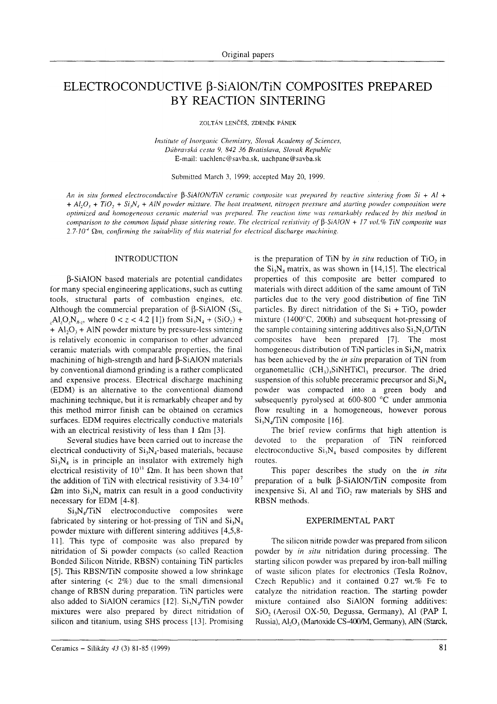# ELECTROCONDUCTIVE β-SiAION/TiN COMPOSITES PREPARED BY REACTION SINTERING

ZOLTÁN LENČÉŠ, ZDENĚK PÁNEK

Institute of Inorganic Chemistry, Slovak Academy of Sciences, Dúbravská cesta 9, 842 36 Bratislava, Slovak Republic E-mail: uachlenc@savba.sk, uachpane@savba.sk

Submitted March 3, 1999, accepted May 20, 1999.

An in situ formed electroconductive  $\beta$ -SiAlON/TiN ceramic composite was prepared by reactive sintering from Si + Al + +  $Al_1O_1$  +  $Ti_1O_2$  +  $Si_1N_1$  +  $AlN$  powder mixture. The heat treatment, nitrogen pressure and starting powder composition were optimized and homogeneous ceramic material was prepared. The reaction time was remarkably reduced by this method in comparison to the common liquid phase sintering route. The electrical resistivity of  $\beta$ -SiAlON + 17 vol.% TiN composite was  $2.7 \cdot 10^{-4}$  Qm, confirming the suitability of this material for electrical discharge machining.

#### **INTRODUCTION**

**B-SiAlON** based materials are potential candidates for many special engineering applications, such as cutting tools, structural parts of combustion engines, etc. Although the commercial preparation of  $\beta$ -SiAlON (Si<sub>6</sub>)  $(A, A, O, N_{8, z}, \text{ where } 0 < z < 4.2$  [1]) from  $Si_3N_4 + (SiO_2) +$  $+$  Al<sub>2</sub>O<sub>3</sub> + AlN powder mixture by pressure-less sintering is relatively economic in comparison to other advanced ceramic materials with comparable properties, the final machining of high-strength and hard  $\beta$ -SiAlON materials by conventional diamond grinding is a rather complicated and expensive process. Electrical discharge machining (EDM) is an alternative to the conventional diamond machining technique, but it is remarkably cheaper and by this method mirror finish can be obtained on ceramics surfaces. EDM requires electrically conductive materials with an electrical resistivity of less than 1  $\Omega$ m [3].

Several studies have been carried out to increase the electrical conductivity of  $Si<sub>3</sub>N<sub>4</sub>$ -based materials, because  $Si_1N_4$  is in principle an insulator with extremely high electrical resistivity of  $10^{11}$   $\Omega$ m. It has been shown that the addition of TiN with electrical resistivity of  $3.34 \cdot 10^{-7}$  $\Omega$ m into Si<sub>3</sub>N<sub>4</sub> matrix can result in a good conductivity necessary for EDM [4-8].

 $Si<sub>3</sub>N<sub>4</sub>/TiN$  electroconductive composites were fabricated by sintering or hot-pressing of TiN and  $Si_3N<sub>4</sub>$ powder mixture with different sintering additives [4,5,8-11]. This type of composite was also prepared by nitridation of Si powder compacts (so called Reaction Bonded Silicon Nitride, RBSN) containing TiN particles [5]. This RBSN/TiN composite showed a low shrinkage after sintering  $(2\%)$  due to the small dimensional change of RBSN during preparation. TiN particles were also added to SiAlON ceramics [12]. Si<sub>3</sub>N<sub>4</sub>/TiN powder mixtures were also prepared by direct nitridation of silicon and titanium, using SHS process [13]. Promising

is the preparation of TiN by in situ reduction of TiO, in the  $Si_3N_4$  matrix, as was shown in [14,15]. The electrical properties of this composite are better compared to materials with direct addition of the same amount of TiN particles due to the very good distribution of fine TiN particles. By direct nitridation of the  $Si + TiO$ , powder mixture  $(1400^{\circ}C, 200h)$  and subsequent hot-pressing of the sample containing sintering additives also  $Si<sub>2</sub>N<sub>2</sub>O/TiN$ composites have been prepared [7]. The most homogeneous distribution of TiN particles in  $Si<sub>3</sub>N<sub>4</sub>$  matrix has been achieved by the in situ preparation of TiN from organometallic  $(CH_3)$ <sub>3</sub>SiNHTiCl<sub>3</sub> precursor. The dried suspension of this soluble preceramic precursor and  $Si_3N_4$ powder was compacted into a green body and subsequently pyrolysed at 600-800 °C under ammonia flow resulting in a homogeneous, however porous  $Si<sub>2</sub>N/TiN$  composite [16].

The brief review confirms that high attention is devoted to the preparation of TiN reinforced electroconductive  $Si_3N_4$  based composites by different routes.

This paper describes the study on the in situ preparation of a bulk  $\beta$ -SiAlON/TiN composite from inexpensive Si, Al and TiO<sub>2</sub> raw materials by SHS and RBSN methods.

#### **EXPERIMENTAL PART**

The silicon nitride powder was prepared from silicon powder by in situ nitridation during processing. The starting silicon powder was prepared by iron-ball milling of waste silicon plates for electronics (Tesla Rožnov, Czech Republic) and it contained 0.27 wt.% Fe to catalyze the nitridation reaction. The starting powder mixture contained also SiAlON forming additives: SiO<sub>2</sub> (Aerosil OX-50, Degussa, Germany), Al (PAP I, Russia), Al<sub>2</sub>O<sub>3</sub> (Martoxide CS-400/M, Germany), AlN (Starck,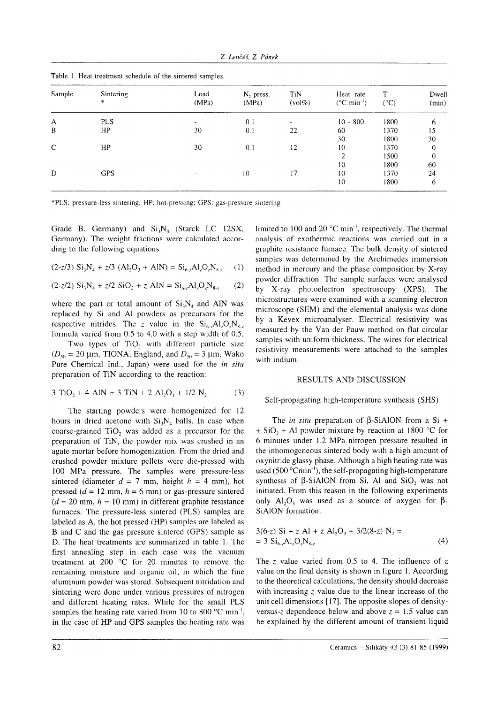| Sample       | Sintering<br>$\ast$ | Load<br>(MPa)            | $N2$ press.<br>(MPa) | TiN<br>$(vol\%)$ | Heat. rate<br>$(^{\circ}C \text{ min}^{-1})$ | T<br>$(^{\circ}C)$ | Dwell<br>(min) |
|--------------|---------------------|--------------------------|----------------------|------------------|----------------------------------------------|--------------------|----------------|
| A            | <b>PLS</b>          | $\overline{\phantom{a}}$ | 0.1                  | $\blacksquare$   | $10 - 800$                                   | 1800               | 6              |
| B            | HP.                 | 30                       | 0.1                  | 22               | 60                                           | 1370               | 15             |
|              |                     |                          |                      |                  | 30                                           | 1800               | 30             |
| $\mathsf{C}$ | HP                  | 30                       | 0.1                  | 12               | 10                                           | 1370               | $\theta$       |
|              |                     |                          |                      |                  | <sup>-</sup>                                 | 1500               | $\theta$       |
|              |                     |                          |                      |                  | 10                                           | 1800               | 60             |
| D            | <b>GPS</b>          |                          | 10                   | 17               | 10                                           | 1370               | 24             |
|              |                     |                          |                      |                  | 10                                           | 1800               | 6              |

Table 1. Heat treatment schedule of the sintered samoles.

\*PLS: pressure-less sintering, HP: hot-pressing; GPS: gas-pressure sintering

Grade B, Germany) and  $Si<sub>3</sub>N<sub>4</sub>$  (Starck LC 12SX, Germany). The weight fractions were calculated according to the following cquations

$$
(2-z/3) Si_3N_4 + z/3 (Al_2O_3 + AlN) = Si_{6-x}Al_zO_zN_{8-x}
$$
 (1)

$$
(2-z/2) Si3N4 + z/2 SiO2 + z AlN = Si6-zAl2OzN8-z
$$
 (2)

where the part or total amount of  $Si<sub>3</sub>N<sub>4</sub>$  and AIN was replaced by Si and Al powders as precursors for the respective nitrides. The z value in the  $Si<sub>6</sub>$ , Al, O, N<sub>x.,</sub> formula varied from  $0.5$  to  $4.0$  with a step width of  $0.5$ .

Two types of  $TiO<sub>2</sub>$  with different particle size  $(D_{50} = 20 \mu m, TIONA, England, and D_{50} = 3 \mu m, Wako$ Pure Chemical Ind., Japan) were used for the in situ preparation of TiN according to the reaction:

$$
3 TiO2 + 4 AlN = 3 TiN + 2 Al2O3 + 1/2 N2
$$
 (3)

The starting powders were homogenized for <sup>12</sup> hours in dried acetone with  $Si<sub>3</sub>N<sub>4</sub>$  balls. In case when coarse-grained TiO<sub>2</sub> was added as a precursor for the preparation of TiN, the powder mix was crushed in an agate mortar before homogenization. From the dried and crushed powder mixture pellets were die-pressed with 100 MPa pressure. The samples were pressure-less sintered (diameter  $d = 7$  mm, height  $h = 4$  mm), hot pressed ( $d = 12$  mm,  $h = 6$  mm) or gas-pressure sintered  $(d = 20$  mm,  $h = 10$  mm) in different graphite resistance furnaces. The pressure-less sintered (PLS) samples are labeled as A, the hot pressed (HP) samples are labeled as B and C and the gas pressure sintered (GPS) sample as D. The heat treatments are summarized in table 1. The first annealing step in each case was the vacuum treatment at 200 $\degree$ C for 20 minutes to remove the remaining moisture and organic oil, in which the fine aluminum powder was stored. Subsequent nitridation and sintering were done under various pressures of nitrogen and different heating rates. While for the small PLS samples the heating rate varied from 10 to 800  $^{\circ}$ C min<sup>-1</sup>, in the case of HP and GPS samples the heating rate was limited to 100 and 20  $^{\circ}$ C min<sup>-1</sup>, respectively. The thermal analysis of exothermic reactions was carried out in <sup>a</sup> graphite resistance furnace. The bulk density of sintered samples was determined by the Archimedes immersion method in mercury and the phase composition by X-ray powder diffraction. The sample surfaces were analysed by X-ray photoelectron spectroscopy (XPS). The microstructures were examined with a scanning electron microscope (SEM) and the elemental analysis was done by a Kevex microanalyser. Electrical resistivity was measured by the Van der Pauw method on flat circular samples with uniform thickness. The wires for electrical resistivity measurements were attached to the samples with indium.

## RESULTS AND DISCUSSION

## Self-propagating high-temperature synthesis (SHS)

The *in situ* preparation of  $\beta$ -SiAION from a Si + + SiO<sub>2</sub> + Al powder mixture by reaction at 1800 °C for 6 minutes under 1.2 MPa nitrogen pressure resulted in the inhomogeneous sintered body with a high amount of oxynitride glassy phase. Although a high heating rate was used (500 $^{\circ}$ Cmin<sup>-1</sup>), the self-propagating high-temperature synthesis of B-SiAION from Si, Al and SiO, was not initiated. From this reason in the following experiments only Al<sub>2</sub>O<sub>3</sub> was used as a source of oxygen for  $\beta$ -SiAlON formation:

$$
3(6-z) Si + z Al + z Al2O3 + 3/2(8-z) N2 == 3 Si6-zAl2OzN8-z
$$
 (4)

The z value varied from 0.5 to 4. The influence of z value on the final density is shown in figure 1. According to the theoretical calculations, the density should decrease with increasing  $\zeta$  value due to the linear increase of the unit cell dimensions [17]. The opposite slopes of densityversus-z dependence below and above  $z = 1.5$  value can be explained by the different amount of transient liquid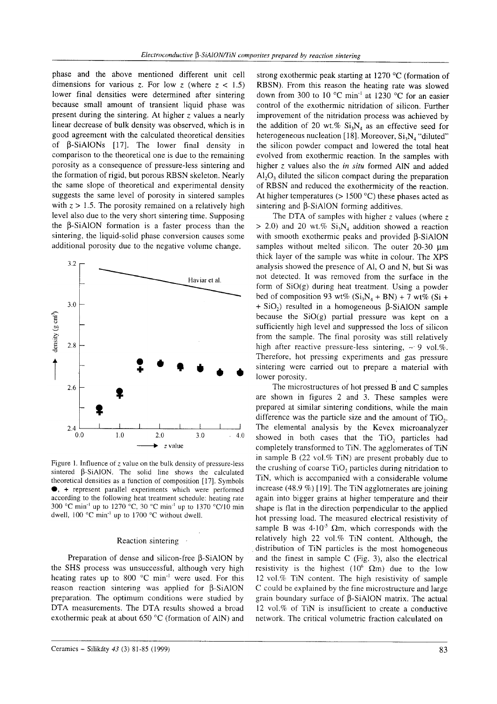phase and the above mentioned different unit cell dimensions for various z. For low z (where  $z < 1.5$ ) lower final densities were determined after sintering because small amount of transient liquid phase was present during the sintering. At higher  $z$  values a nearly linear decrease of bulk density was observed, which is in good agreement with the calculated theoretical densities of  $\beta$ -SiAlONs [17]. The lower final density in comparison to the theoretical one is due to the remaining porosity as a consequence of pressure-less sintering and the formation of rigid, but porous RBSN skeleton. Nearly the same slope of theoretical and experimental density suggests the same level of porosity in sintered samples with  $z > 1.5$ . The porosity remained on a relatively high level also due to the very short sintering time. Supposing the B-SiAlON formation is a faster process than the sintering, the liquid-solid phase conversion causes some additional porosity due to the negative volume change.



Figure 1. Influence of  $z$  value on the bulk density of pressure-less sintered  $\beta$ -SiAlON. The solid line shows the calculated theoretical densities as a function of composition [17]. Symbols •, + represent parallel experiments which were performed according to the following heat treatment schedule: heating rate 300 °C min<sup>-1</sup> up to 1270 °C, 30 °C min<sup>-1</sup> up to 1370 °C/10 min dwell, 100 °C min<sup>-1</sup> up to 1700 °C without dwell.

#### Reaction sintering

Preparation of dense and silicon-free  $\beta$ -SiAlON by the SHS process was unsuccessful, although very high heating rates up to 800 °C min<sup>-1</sup> were used. For this reason reaction sintering was applied for  $\beta$ -SiAlON preparation. The optimum conditions were studied by DTA measurements. The DTA results showed a broad exothermic peak at about 650 °C (formation of AIN) and

Ceramics -- Silikáty 43 (3) 81-85 (1999)

strong exothermic peak starting at 1270 °C (formation of RBSN). From this reason the heating rate was slowed down from 300 to 10  $^{\circ}$ C min<sup>-1</sup> at 1230  $^{\circ}$ C for an easier control of the exothermic nitridation of silicon. Further improvement of the nitridation process was achieved by the addition of 20 wt.%  $Si_3N_A$  as an effective seed for heterogeneous nucleation [18]. Moreover,  $Si<sub>3</sub>N<sub>4</sub>$  "diluted" the silicon powder compact and lowered the total heat evolved from exothermic reaction. In the samples with higher z values also the in situ formed AlN and added  $Al_2O_3$  diluted the silicon compact during the preparation of RBSN and reduced the exothermicity of the reaction. At higher temperatures ( $> 1500$  °C) these phases acted as sintering and  $\beta$ -SiAlON forming additives.

The DTA of samples with higher  $z$  values (where  $z$ > 2.0) and 20 wt.%  $Si_3N_4$  addition showed a reaction with smooth exothermic peaks and provided B-SiAlON samples without melted silicon. The outer 20-30 um thick layer of the sample was white in colour. The XPS analysis showed the presence of Al, O and N, but Si was not detected. It was removed from the surface in the form of  $SiO(g)$  during heat treatment. Using a powder bed of composition 93 wt%  $(Si_3N_4 + BN) + 7$  wt%  $(Si +$  $+$  SiO<sub>2</sub>) resulted in a homogeneous  $\beta$ -SiAlON sample because the  $SiO(g)$  partial pressure was kept on a sufficiently high level and suppressed the loss of silicon from the sample. The final porosity was still relatively high after reactive pressure-less sintering,  $\sim 9$  vol.%. Therefore, hot pressing experiments and gas pressure sintering were carried out to prepare a material with lower porosity.

The microstructures of hot pressed B and C samples are shown in figures 2 and 3. These samples were prepared at similar sintering conditions, while the main difference was the particle size and the amount of  $TiO<sub>2</sub>$ . The elemental analysis by the Kevex microanalyzer showed in both cases that the TiO<sub>2</sub> particles had completely transformed to TiN. The agglomerates of TiN in sample B  $(22 \text{ vol.}\% \text{ TiN})$  are present probably due to the crushing of coarse TiO<sub>2</sub> particles during nitridation to TiN, which is accompanied with a considerable volume increase  $(48.9\%)$  [19]. The TiN agglomerates are joining again into bigger grains at higher temperature and their shape is flat in the direction perpendicular to the applied hot pressing load. The measured electrical resistivity of sample B was  $4.10^{-5}$   $\Omega$ m, which corresponds with the relatively high 22 vol.% TiN content. Although, the distribution of TiN particles is the most homogeneous and the finest in sample C (Fig. 3), also the electrical resistivity is the highest (10<sup>6</sup>  $\Omega$ m) due to the low 12 vol.% TiN content. The high resistivity of sample C could be explained by the fine microstructure and large grain boundary surface of  $\beta$ -SiAlON matrix. The actual 12 vol.% of TiN is insufficient to create a conductive network. The critical volumetric fraction calculated on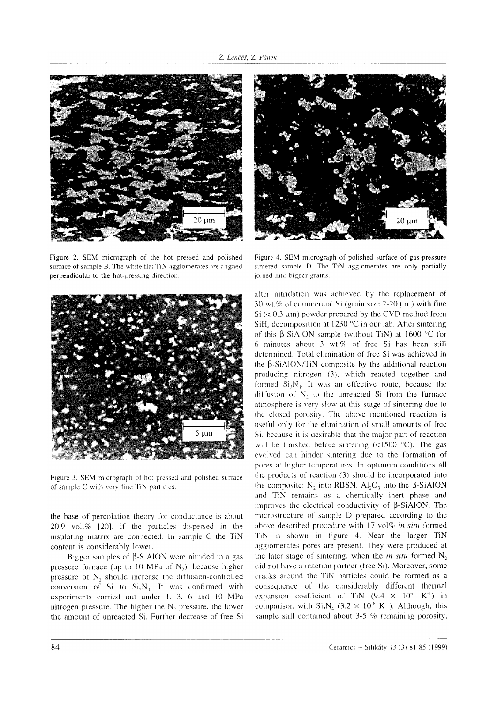

Figure 2. SEM micrograph of the hot pressed and polished surface of sample B. The white flat TiN agglomerates are aligned perpendicular to the hot-pressing direction.



Figure 3. SEM micrograph of hot pressed and polished surface of sample C with very fine TiN particles.

the base of percolation theory for conductance is about 20.9 vol.% [20], if the particles dispersed in the insulating matrix are connected. In sample C the TiN content is considerably lower.

Bigger samples of  $\beta$ -SiAlON were nitrided in a gas pressure furnace (up to 10 MPa of  $N_2$ ), because higher pressure of N<sub>2</sub> should increase the diffusion-controlled conversion of Si to  $Si_3N_4$ . It was confirmed with experiments carried out under 1, 3, 6 and 10 MPa nitrogen pressure. The higher the N<sub>2</sub> pressure, the lower the amount of unreacted Si. Further decrease of free Si



Figure 4. SEM micrograph of polished surface of gas-pressure sintered sample D. The TiN agglomerates are only partially joined into bigger grains.

after nitridation was achieved by the replacement of 30 wt.% of commercial Si (grain size  $2-20 \mu m$ ) with fine  $Si \leq 0.3 \mu m$ ) powder prepared by the CVD method from  $SiH<sub>4</sub>$  decomposition at 1230 °C in our lab. After sintering of this  $\beta$ -SiAlON sample (without TiN) at 1600 °C for 6 minutes about 3 wt.% of free Si has been still determined. Total elimination of free Si was achieved in the B-SiAlON/TiN composite by the additional reaction producing nitrogen (3), which reacted together and formed  $Si_3N_4$ . It was an effective route, because the diffusion of  $N<sub>2</sub>$  to the unreacted Si from the furnace atmosphere is very slow at this stage of sintering due to the closed porosity. The above mentioned reaction is useful only for the elimination of small amounts of free Si, because it is desirable that the major part of reaction will be finished before sintering  $(\leq 1500 \degree C)$ . The gas evolved can hinder sintering due to the formation of pores at higher temperatures. In optimum conditions all the products of reaction (3) should be incorporated into the composite:  $N_2$  into RBSN,  $Al_2O_3$  into the  $\beta$ -SiAlON and TiN remains as a chemically inert phase and improves the electrical conductivity of  $\beta$ -SiAlON. The microstructure of sample D prepared according to the above described procedure with 17 vol% in situ formed TiN is shown in figure 4. Near the larger TiN agglomerates pores are present. They were produced at the later stage of sintering, when the *in situ* formed  $N_2$ did not have a reaction partner (free Si). Moreover, some cracks around the TiN particles could be formed as a consequence of the considerably different thermal expansion coefficient of TiN  $(9.4 \times 10^{-6} \text{ K}^{-1})$  in comparison with  $Si_3N_4$  (3.2 × 10<sup>-6</sup> K<sup>-1</sup>). Although, this sample still contained about 3-5 % remaining porosity,